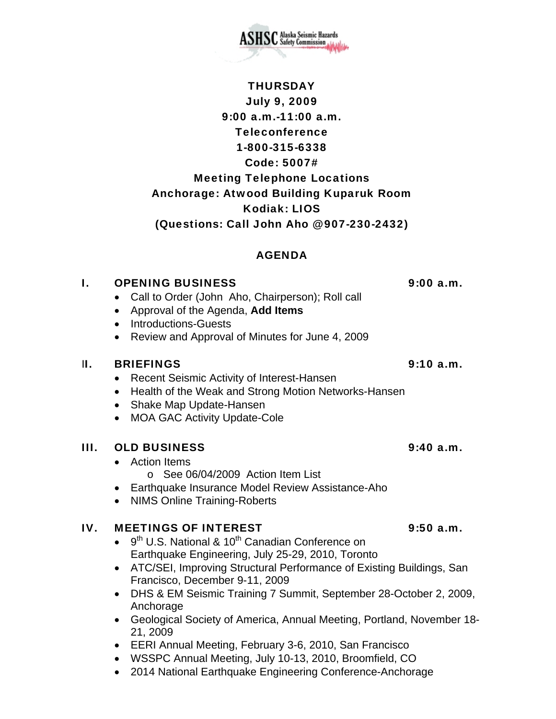July 9, 2009 9:00 a.m.-11:00 a.m. Teleconference 1-800-315-6338 Code: 5007# Meeting Telephone Locations Anchorage: Atwood Building Kuparuk Room Kodiak: LIOS (Questions: Call John Aho @ 907-230-2432)

**THURSDAY** 

**SC** Alaska Seismic Hazards

## AGENDA

# I. OPENING BUSINESS 9:00 a.m.

- Call to Order (John Aho, Chairperson); Roll call
- Approval of the Agenda, **Add Items**
- Introductions-Guests
- Review and Approval of Minutes for June 4, 2009

## II. BRIEFINGS 9:10 a.m.

- Recent Seismic Activity of Interest-Hansen
- Health of the Weak and Strong Motion Networks-Hansen
- Shake Map Update-Hansen
- MOA GAC Activity Update-Cole

# III. OLD BUSINESS 9:40 a.m.

- Action Items
	- o See 06/04/2009 Action Item List
- Earthquake Insurance Model Review Assistance-Aho
- NIMS Online Training-Roberts

## IV. MEETINGS OF INTEREST 4.5 a.m.

- $\bullet$  9<sup>th</sup> U.S. National & 10<sup>th</sup> Canadian Conference on Earthquake Engineering, July 25-29, 2010, Toronto
- ATC/SEI, Improving Structural Performance of Existing Buildings, San Francisco, December 9-11, 2009
- DHS & EM Seismic Training 7 Summit, September 28-October 2, 2009, Anchorage
- Geological Society of America, Annual Meeting, Portland, November 18- 21, 2009
- EERI Annual Meeting, February 3-6, 2010, San Francisco
- WSSPC Annual Meeting, July 10-13, 2010, Broomfield, CO
- 2014 National Earthquake Engineering Conference-Anchorage